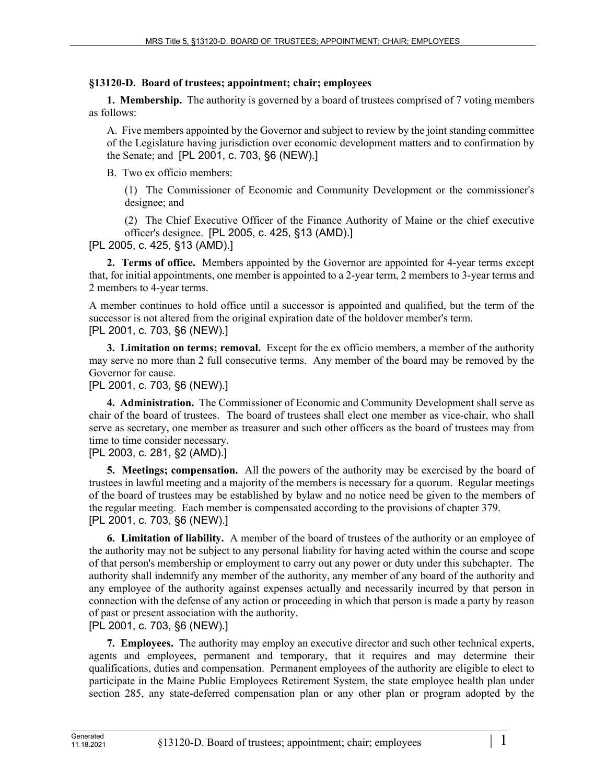## **§13120-D. Board of trustees; appointment; chair; employees**

**1. Membership.** The authority is governed by a board of trustees comprised of 7 voting members as follows:

A. Five members appointed by the Governor and subject to review by the joint standing committee of the Legislature having jurisdiction over economic development matters and to confirmation by the Senate; and [PL 2001, c. 703, §6 (NEW).]

B. Two ex officio members:

(1) The Commissioner of Economic and Community Development or the commissioner's designee; and

(2) The Chief Executive Officer of the Finance Authority of Maine or the chief executive officer's designee. [PL 2005, c. 425, §13 (AMD).]

[PL 2005, c. 425, §13 (AMD).]

**2. Terms of office.** Members appointed by the Governor are appointed for 4-year terms except that, for initial appointments, one member is appointed to a 2-year term, 2 members to 3-year terms and 2 members to 4-year terms.

A member continues to hold office until a successor is appointed and qualified, but the term of the successor is not altered from the original expiration date of the holdover member's term. [PL 2001, c. 703, §6 (NEW).]

**3. Limitation on terms; removal.** Except for the ex officio members, a member of the authority may serve no more than 2 full consecutive terms. Any member of the board may be removed by the Governor for cause.

[PL 2001, c. 703, §6 (NEW).]

**4. Administration.** The Commissioner of Economic and Community Development shall serve as chair of the board of trustees. The board of trustees shall elect one member as vice-chair, who shall serve as secretary, one member as treasurer and such other officers as the board of trustees may from time to time consider necessary.

## [PL 2003, c. 281, §2 (AMD).]

**5. Meetings; compensation.** All the powers of the authority may be exercised by the board of trustees in lawful meeting and a majority of the members is necessary for a quorum. Regular meetings of the board of trustees may be established by bylaw and no notice need be given to the members of the regular meeting. Each member is compensated according to the provisions of chapter 379. [PL 2001, c. 703, §6 (NEW).]

**6. Limitation of liability.** A member of the board of trustees of the authority or an employee of the authority may not be subject to any personal liability for having acted within the course and scope of that person's membership or employment to carry out any power or duty under this subchapter. The authority shall indemnify any member of the authority, any member of any board of the authority and any employee of the authority against expenses actually and necessarily incurred by that person in connection with the defense of any action or proceeding in which that person is made a party by reason of past or present association with the authority.

[PL 2001, c. 703, §6 (NEW).]

**7. Employees.** The authority may employ an executive director and such other technical experts, agents and employees, permanent and temporary, that it requires and may determine their qualifications, duties and compensation. Permanent employees of the authority are eligible to elect to participate in the Maine Public Employees Retirement System, the state employee health plan under section 285, any state-deferred compensation plan or any other plan or program adopted by the